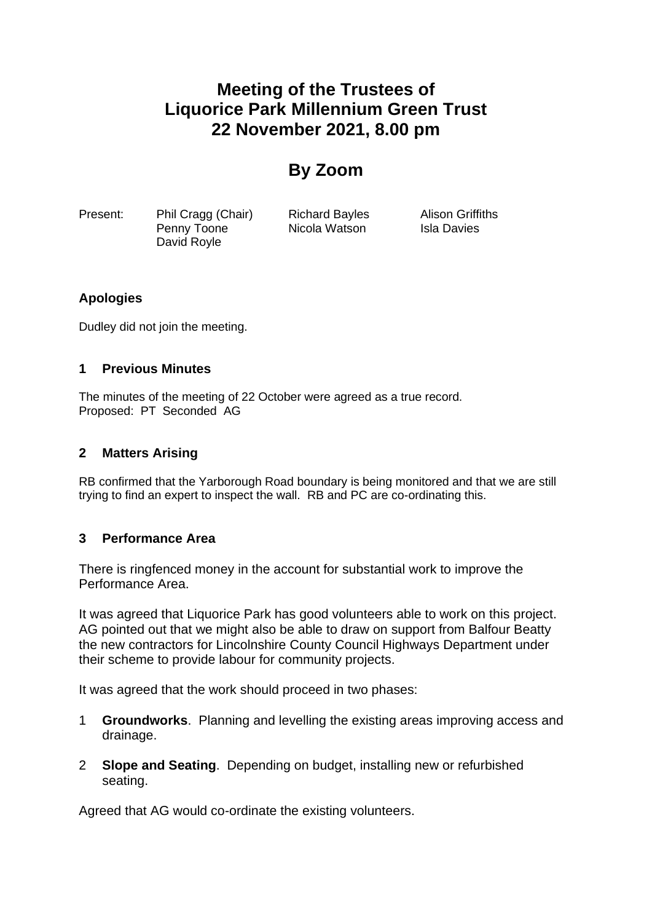# **Meeting of the Trustees of Liquorice Park Millennium Green Trust 22 November 2021, 8.00 pm**

## **By Zoom**

Present: Phil Cragg (Chair) Richard Bayles Alison Griffiths Penny Toone **Nicola Watson** Isla Davies David Royle

## **Apologies**

Dudley did not join the meeting.

#### **1 Previous Minutes**

The minutes of the meeting of 22 October were agreed as a true record. Proposed: PT Seconded AG

#### **2 Matters Arising**

RB confirmed that the Yarborough Road boundary is being monitored and that we are still trying to find an expert to inspect the wall. RB and PC are co-ordinating this.

## **3 Performance Area**

There is ringfenced money in the account for substantial work to improve the Performance Area.

It was agreed that Liquorice Park has good volunteers able to work on this project. AG pointed out that we might also be able to draw on support from Balfour Beatty the new contractors for Lincolnshire County Council Highways Department under their scheme to provide labour for community projects.

It was agreed that the work should proceed in two phases:

- 1 **Groundworks**. Planning and levelling the existing areas improving access and drainage.
- 2 **Slope and Seating**. Depending on budget, installing new or refurbished seating.

Agreed that AG would co-ordinate the existing volunteers.